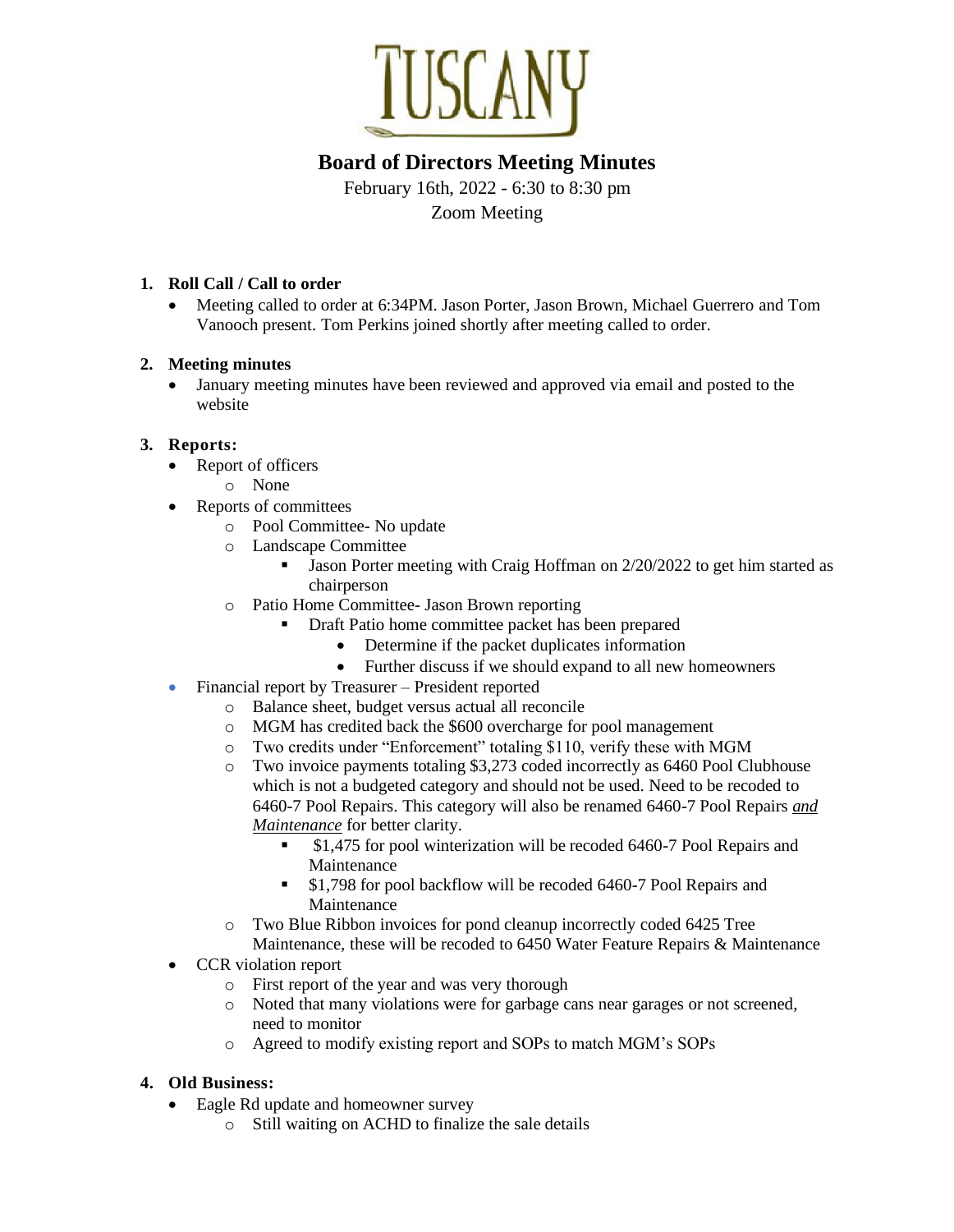

# **Board of Directors Meeting Minutes**

February 16th, 2022 - 6:30 to 8:30 pm Zoom Meeting

## **1. Roll Call / Call to order**

• Meeting called to order at 6:34PM. Jason Porter, Jason Brown, Michael Guerrero and Tom Vanooch present. Tom Perkins joined shortly after meeting called to order.

### **2. Meeting minutes**

• January meeting minutes have been reviewed and approved via email and posted to the website

### **3. Reports:**

- Report of officers
	- o None
- Reports of committees
	- o Pool Committee- No update
	- o Landscape Committee
		- **•** Jason Porter meeting with Craig Hoffman on 2/20/2022 to get him started as chairperson
	- o Patio Home Committee- Jason Brown reporting
		- Draft Patio home committee packet has been prepared
			- Determine if the packet duplicates information
			- Further discuss if we should expand to all new homeowners
- Financial report by Treasurer President reported
	- o Balance sheet, budget versus actual all reconcile
	- o MGM has credited back the \$600 overcharge for pool management
	- o Two credits under "Enforcement" totaling \$110, verify these with MGM
	- o Two invoice payments totaling \$3,273 coded incorrectly as 6460 Pool Clubhouse which is not a budgeted category and should not be used. Need to be recoded to 6460-7 Pool Repairs. This category will also be renamed 6460-7 Pool Repairs *and Maintenance* for better clarity.
		- \$1,475 for pool winterization will be recoded 6460-7 Pool Repairs and Maintenance
		- \$1,798 for pool backflow will be recoded 6460-7 Pool Repairs and Maintenance
	- o Two Blue Ribbon invoices for pond cleanup incorrectly coded 6425 Tree Maintenance, these will be recoded to 6450 Water Feature Repairs & Maintenance
- CCR violation report
	- o First report of the year and was very thorough
	- o Noted that many violations were for garbage cans near garages or not screened, need to monitor
	- o Agreed to modify existing report and SOPs to match MGM's SOPs

### **4. Old Business:**

- Eagle Rd update and homeowner survey
	- o Still waiting on ACHD to finalize the sale details